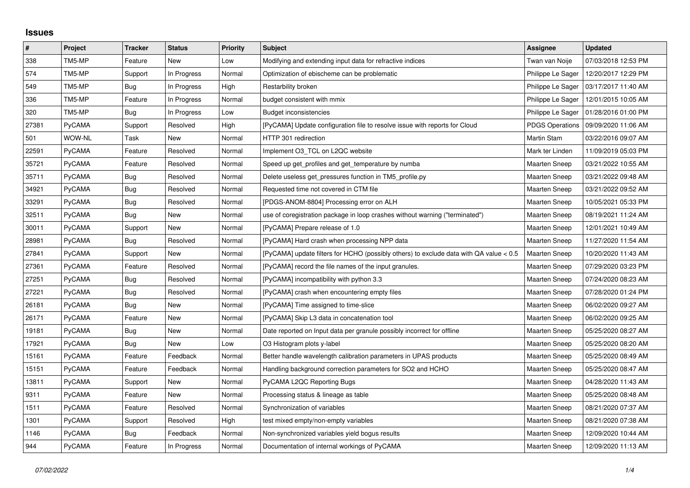## **Issues**

| $\pmb{\#}$ | Project       | <b>Tracker</b> | <b>Status</b> | <b>Priority</b> | Subject                                                                                | Assignee               | <b>Updated</b>      |
|------------|---------------|----------------|---------------|-----------------|----------------------------------------------------------------------------------------|------------------------|---------------------|
| 338        | TM5-MP        | Feature        | <b>New</b>    | Low             | Modifying and extending input data for refractive indices                              | Twan van Noije         | 07/03/2018 12:53 PM |
| 574        | TM5-MP        | Support        | In Progress   | Normal          | Optimization of ebischeme can be problematic                                           | Philippe Le Sager      | 12/20/2017 12:29 PM |
| 549        | TM5-MP        | Bug            | In Progress   | High            | Restarbility broken                                                                    | Philippe Le Sager      | 03/17/2017 11:40 AM |
| 336        | TM5-MP        | Feature        | In Progress   | Normal          | budget consistent with mmix                                                            | Philippe Le Sager      | 12/01/2015 10:05 AM |
| 320        | TM5-MP        | Bug            | In Progress   | Low             | Budget inconsistencies                                                                 | Philippe Le Sager      | 01/28/2016 01:00 PM |
| 27381      | PyCAMA        | Support        | Resolved      | High            | [PyCAMA] Update configuration file to resolve issue with reports for Cloud             | <b>PDGS Operations</b> | 09/09/2020 11:06 AM |
| 501        | WOW-NL        | Task           | New           | Normal          | HTTP 301 redirection                                                                   | Martin Stam            | 03/22/2016 09:07 AM |
| 22591      | PyCAMA        | Feature        | Resolved      | Normal          | Implement O3 TCL on L2QC website                                                       | Mark ter Linden        | 11/09/2019 05:03 PM |
| 35721      | PyCAMA        | Feature        | Resolved      | Normal          | Speed up get profiles and get temperature by numba                                     | Maarten Sneep          | 03/21/2022 10:55 AM |
| 35711      | PyCAMA        | Bug            | Resolved      | Normal          | Delete useless get_pressures function in TM5_profile.py                                | Maarten Sneep          | 03/21/2022 09:48 AM |
| 34921      | PyCAMA        | <b>Bug</b>     | Resolved      | Normal          | Requested time not covered in CTM file                                                 | <b>Maarten Sneep</b>   | 03/21/2022 09:52 AM |
| 33291      | PyCAMA        | Bug            | Resolved      | Normal          | [PDGS-ANOM-8804] Processing error on ALH                                               | Maarten Sneep          | 10/05/2021 05:33 PM |
| 32511      | PyCAMA        | Bug            | New           | Normal          | use of coregistration package in loop crashes without warning ("terminated")           | <b>Maarten Sneep</b>   | 08/19/2021 11:24 AM |
| 30011      | PyCAMA        | Support        | New           | Normal          | [PyCAMA] Prepare release of 1.0                                                        | <b>Maarten Sneep</b>   | 12/01/2021 10:49 AM |
| 28981      | PyCAMA        | Bug            | Resolved      | Normal          | [PyCAMA] Hard crash when processing NPP data                                           | <b>Maarten Sneep</b>   | 11/27/2020 11:54 AM |
| 27841      | PyCAMA        | Support        | <b>New</b>    | Normal          | [PyCAMA] update filters for HCHO (possibly others) to exclude data with QA value < 0.5 | <b>Maarten Sneep</b>   | 10/20/2020 11:43 AM |
| 27361      | PyCAMA        | Feature        | Resolved      | Normal          | [PyCAMA] record the file names of the input granules.                                  | Maarten Sneep          | 07/29/2020 03:23 PM |
| 27251      | PyCAMA        | Bug            | Resolved      | Normal          | [PyCAMA] incompatibility with python 3.3                                               | <b>Maarten Sneep</b>   | 07/24/2020 08:23 AM |
| 27221      | PyCAMA        | <b>Bug</b>     | Resolved      | Normal          | [PyCAMA] crash when encountering empty files                                           | <b>Maarten Sneep</b>   | 07/28/2020 01:24 PM |
| 26181      | PyCAMA        | Bug            | New           | Normal          | [PyCAMA] Time assigned to time-slice                                                   | <b>Maarten Sneep</b>   | 06/02/2020 09:27 AM |
| 26171      | PyCAMA        | Feature        | New           | Normal          | [PyCAMA] Skip L3 data in concatenation tool                                            | <b>Maarten Sneep</b>   | 06/02/2020 09:25 AM |
| 19181      | PyCAMA        | <b>Bug</b>     | New           | Normal          | Date reported on Input data per granule possibly incorrect for offline                 | Maarten Sneep          | 05/25/2020 08:27 AM |
| 17921      | PyCAMA        | Bug            | New           | Low             | O3 Histogram plots y-label                                                             | <b>Maarten Sneep</b>   | 05/25/2020 08:20 AM |
| 15161      | PyCAMA        | Feature        | Feedback      | Normal          | Better handle wavelength calibration parameters in UPAS products                       | Maarten Sneep          | 05/25/2020 08:49 AM |
| 15151      | PyCAMA        | Feature        | Feedback      | Normal          | Handling background correction parameters for SO2 and HCHO                             | <b>Maarten Sneep</b>   | 05/25/2020 08:47 AM |
| 13811      | PyCAMA        | Support        | New           | Normal          | PyCAMA L2QC Reporting Bugs                                                             | Maarten Sneep          | 04/28/2020 11:43 AM |
| 9311       | PyCAMA        | Feature        | <b>New</b>    | Normal          | Processing status & lineage as table                                                   | <b>Maarten Sneep</b>   | 05/25/2020 08:48 AM |
| 1511       | PyCAMA        | Feature        | Resolved      | Normal          | Synchronization of variables                                                           | Maarten Sneep          | 08/21/2020 07:37 AM |
| 1301       | PyCAMA        | Support        | Resolved      | High            | test mixed empty/non-empty variables                                                   | <b>Maarten Sneep</b>   | 08/21/2020 07:38 AM |
| 1146       | PyCAMA        | Bug            | Feedback      | Normal          | Non-synchronized variables yield bogus results                                         | <b>Maarten Sneep</b>   | 12/09/2020 10:44 AM |
| 944        | <b>PyCAMA</b> | Feature        | In Progress   | Normal          | Documentation of internal workings of PyCAMA                                           | Maarten Sneep          | 12/09/2020 11:13 AM |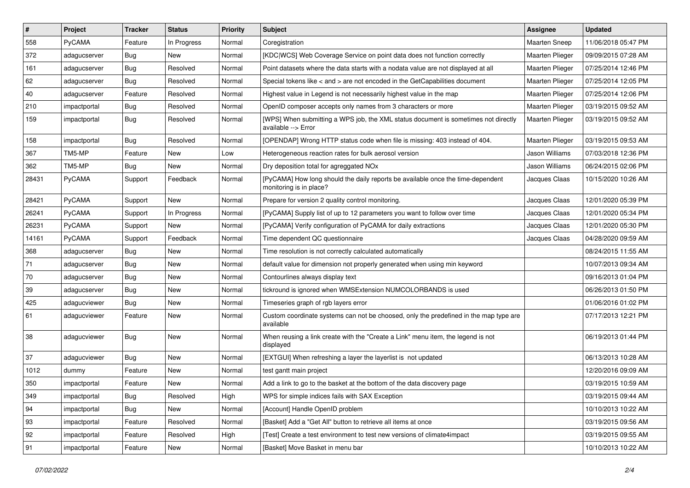| $\vert$ # | Project      | <b>Tracker</b> | <b>Status</b> | Priority | Subject                                                                                                    | Assignee               | <b>Updated</b>      |
|-----------|--------------|----------------|---------------|----------|------------------------------------------------------------------------------------------------------------|------------------------|---------------------|
| 558       | PyCAMA       | Feature        | In Progress   | Normal   | Coregistration                                                                                             | <b>Maarten Sneep</b>   | 11/06/2018 05:47 PM |
| 372       | adagucserver | <b>Bug</b>     | New           | Normal   | [KDC WCS] Web Coverage Service on point data does not function correctly                                   | <b>Maarten Plieger</b> | 09/09/2015 07:28 AM |
| 161       | adagucserver | <b>Bug</b>     | Resolved      | Normal   | Point datasets where the data starts with a nodata value are not displayed at all                          | Maarten Plieger        | 07/25/2014 12:46 PM |
| 62        | adagucserver | Bug            | Resolved      | Normal   | Special tokens like < and > are not encoded in the GetCapabilities document                                | <b>Maarten Plieger</b> | 07/25/2014 12:05 PM |
| 40        | adagucserver | Feature        | Resolved      | Normal   | Highest value in Legend is not necessarily highest value in the map                                        | Maarten Plieger        | 07/25/2014 12:06 PM |
| 210       | impactportal | <b>Bug</b>     | Resolved      | Normal   | OpenID composer accepts only names from 3 characters or more                                               | Maarten Plieger        | 03/19/2015 09:52 AM |
| 159       | impactportal | <b>Bug</b>     | Resolved      | Normal   | [WPS] When submitting a WPS job, the XML status document is sometimes not directly<br>available --> Error  | <b>Maarten Plieger</b> | 03/19/2015 09:52 AM |
| 158       | impactportal | <b>Bug</b>     | Resolved      | Normal   | [OPENDAP] Wrong HTTP status code when file is missing: 403 instead of 404.                                 | Maarten Plieger        | 03/19/2015 09:53 AM |
| 367       | TM5-MP       | Feature        | New           | Low      | Heterogeneous reaction rates for bulk aerosol version                                                      | Jason Williams         | 07/03/2018 12:36 PM |
| 362       | TM5-MP       | <b>Bug</b>     | New           | Normal   | Dry deposition total for agreggated NO <sub>x</sub>                                                        | Jason Williams         | 06/24/2015 02:06 PM |
| 28431     | PyCAMA       | Support        | Feedback      | Normal   | [PyCAMA] How long should the daily reports be available once the time-dependent<br>monitoring is in place? | Jacques Claas          | 10/15/2020 10:26 AM |
| 28421     | PyCAMA       | Support        | <b>New</b>    | Normal   | Prepare for version 2 quality control monitoring.                                                          | Jacques Claas          | 12/01/2020 05:39 PM |
| 26241     | PyCAMA       | Support        | In Progress   | Normal   | [PyCAMA] Supply list of up to 12 parameters you want to follow over time                                   | Jacques Claas          | 12/01/2020 05:34 PM |
| 26231     | PyCAMA       | Support        | <b>New</b>    | Normal   | [PyCAMA] Verify configuration of PyCAMA for daily extractions                                              | Jacques Claas          | 12/01/2020 05:30 PM |
| 14161     | PyCAMA       | Support        | Feedback      | Normal   | Time dependent QC questionnaire                                                                            | Jacques Claas          | 04/28/2020 09:59 AM |
| 368       | adagucserver | Bug            | New           | Normal   | Time resolution is not correctly calculated automatically                                                  |                        | 08/24/2015 11:55 AM |
| 71        | adagucserver | <b>Bug</b>     | New           | Normal   | default value for dimension not properly generated when using min keyword                                  |                        | 10/07/2013 09:34 AM |
| 70        | adagucserver | Bug            | New           | Normal   | Contourlines always display text                                                                           |                        | 09/16/2013 01:04 PM |
| 39        | adagucserver | <b>Bug</b>     | <b>New</b>    | Normal   | tickround is ignored when WMSExtension NUMCOLORBANDS is used                                               |                        | 06/26/2013 01:50 PM |
| 425       | adagucviewer | <b>Bug</b>     | New           | Normal   | Timeseries graph of rgb layers error                                                                       |                        | 01/06/2016 01:02 PM |
| 61        | adagucviewer | Feature        | New           | Normal   | Custom coordinate systems can not be choosed, only the predefined in the map type are<br>available         |                        | 07/17/2013 12:21 PM |
| 38        | adagucviewer | <b>Bug</b>     | <b>New</b>    | Normal   | When reusing a link create with the "Create a Link" menu item, the legend is not<br>displayed              |                        | 06/19/2013 01:44 PM |
| 37        | adagucviewer | <b>Bug</b>     | <b>New</b>    | Normal   | [EXTGUI] When refreshing a layer the layerlist is not updated                                              |                        | 06/13/2013 10:28 AM |
| 1012      | dummy        | Feature        | New           | Normal   | test gantt main project                                                                                    |                        | 12/20/2016 09:09 AM |
| 350       | impactportal | Feature        | <b>New</b>    | Normal   | Add a link to go to the basket at the bottom of the data discovery page                                    |                        | 03/19/2015 10:59 AM |
| 349       | impactportal | <b>Bug</b>     | Resolved      | High     | WPS for simple indices fails with SAX Exception                                                            |                        | 03/19/2015 09:44 AM |
| 94        | impactportal | <b>Bug</b>     | New           | Normal   | [Account] Handle OpenID problem                                                                            |                        | 10/10/2013 10:22 AM |
| 93        | impactportal | Feature        | Resolved      | Normal   | [Basket] Add a "Get All" button to retrieve all items at once                                              |                        | 03/19/2015 09:56 AM |
| 92        | impactportal | Feature        | Resolved      | High     | [Test] Create a test environment to test new versions of climate4impact                                    |                        | 03/19/2015 09:55 AM |
| 91        | impactportal | Feature        | New           | Normal   | [Basket] Move Basket in menu bar                                                                           |                        | 10/10/2013 10:22 AM |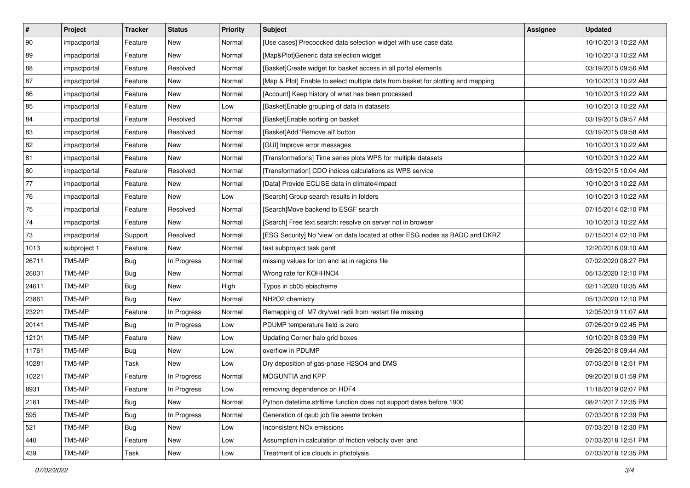| $\vert$ # | Project      | <b>Tracker</b> | <b>Status</b> | <b>Priority</b> | <b>Subject</b>                                                                   | <b>Assignee</b> | <b>Updated</b>      |
|-----------|--------------|----------------|---------------|-----------------|----------------------------------------------------------------------------------|-----------------|---------------------|
| 90        | impactportal | Feature        | New           | Normal          | [Use cases] Precoocked data selection widget with use case data                  |                 | 10/10/2013 10:22 AM |
| 89        | impactportal | Feature        | New           | Normal          | [Map&Plot]Generic data selection widget                                          |                 | 10/10/2013 10:22 AM |
| 88        | impactportal | Feature        | Resolved      | Normal          | [Basket]Create widget for basket access in all portal elements                   |                 | 03/19/2015 09:56 AM |
| 87        | impactportal | Feature        | New           | Normal          | [Map & Plot] Enable to select multiple data from basket for plotting and mapping |                 | 10/10/2013 10:22 AM |
| 86        | impactportal | Feature        | <b>New</b>    | Normal          | [Account] Keep history of what has been processed                                |                 | 10/10/2013 10:22 AM |
| 85        | impactportal | Feature        | New           | Low             | [Basket] Enable grouping of data in datasets                                     |                 | 10/10/2013 10:22 AM |
| 84        | impactportal | Feature        | Resolved      | Normal          | [Basket]Enable sorting on basket                                                 |                 | 03/19/2015 09:57 AM |
| 83        | impactportal | Feature        | Resolved      | Normal          | [Basket]Add 'Remove all' button                                                  |                 | 03/19/2015 09:58 AM |
| 82        | impactportal | Feature        | New           | Normal          | [GUI] Improve error messages                                                     |                 | 10/10/2013 10:22 AM |
| 81        | impactportal | Feature        | New           | Normal          | [Transformations] Time series plots WPS for multiple datasets                    |                 | 10/10/2013 10:22 AM |
| 80        | impactportal | Feature        | Resolved      | Normal          | [Transformation] CDO indices calculations as WPS service                         |                 | 03/19/2015 10:04 AM |
| 77        | impactportal | Feature        | New           | Normal          | [Data] Provide ECLISE data in climate4impact                                     |                 | 10/10/2013 10:22 AM |
| 76        | impactportal | Feature        | <b>New</b>    | Low             | [Search] Group search results in folders                                         |                 | 10/10/2013 10:22 AM |
| 75        | impactportal | Feature        | Resolved      | Normal          | [Search]Move backend to ESGF search                                              |                 | 07/15/2014 02:10 PM |
| 74        | impactportal | Feature        | New           | Normal          | [Search] Free text search: resolve on server not in browser                      |                 | 10/10/2013 10:22 AM |
| 73        | impactportal | Support        | Resolved      | Normal          | [ESG Security] No 'view' on data located at other ESG nodes as BADC and DKRZ     |                 | 07/15/2014 02:10 PM |
| 1013      | subproject 1 | Feature        | New           | Normal          | test subproject task gantt                                                       |                 | 12/20/2016 09:10 AM |
| 26711     | TM5-MP       | <b>Bug</b>     | In Progress   | Normal          | missing values for lon and lat in regions file                                   |                 | 07/02/2020 08:27 PM |
| 26031     | TM5-MP       | Bug            | New           | Normal          | Wrong rate for KOHHNO4                                                           |                 | 05/13/2020 12:10 PM |
| 24611     | TM5-MP       | <b>Bug</b>     | New           | High            | Typos in cb05 ebischeme                                                          |                 | 02/11/2020 10:35 AM |
| 23861     | TM5-MP       | <b>Bug</b>     | New           | Normal          | NH2O2 chemistry                                                                  |                 | 05/13/2020 12:10 PM |
| 23221     | TM5-MP       | Feature        | In Progress   | Normal          | Remapping of M7 dry/wet radii from restart file missing                          |                 | 12/05/2019 11:07 AM |
| 20141     | TM5-MP       | <b>Bug</b>     | In Progress   | Low             | PDUMP temperature field is zero                                                  |                 | 07/26/2019 02:45 PM |
| 12101     | TM5-MP       | Feature        | New           | Low             | Updating Corner halo grid boxes                                                  |                 | 10/10/2018 03:39 PM |
| 11761     | TM5-MP       | <b>Bug</b>     | New           | Low             | overflow in PDUMP                                                                |                 | 09/26/2018 09:44 AM |
| 10281     | TM5-MP       | Task           | New           | Low             | Dry deposition of gas-phase H2SO4 and DMS                                        |                 | 07/03/2018 12:51 PM |
| 10221     | TM5-MP       | Feature        | In Progress   | Normal          | MOGUNTIA and KPP                                                                 |                 | 09/20/2018 01:59 PM |
| 8931      | TM5-MP       | Feature        | In Progress   | Low             | removing dependence on HDF4                                                      |                 | 11/18/2019 02:07 PM |
| 2161      | TM5-MP       | Bug            | New           | Normal          | Python datetime.strftime function does not support dates before 1900             |                 | 08/21/2017 12:35 PM |
| 595       | TM5-MP       | Bug            | In Progress   | Normal          | Generation of qsub job file seems broken                                         |                 | 07/03/2018 12:39 PM |
| 521       | TM5-MP       | <b>Bug</b>     | New           | Low             | Inconsistent NO <sub>x</sub> emissions                                           |                 | 07/03/2018 12:30 PM |
| 440       | TM5-MP       | Feature        | New           | Low             | Assumption in calculation of friction velocity over land                         |                 | 07/03/2018 12:51 PM |
| 439       | TM5-MP       | Task           | New           | Low             | Treatment of ice clouds in photolysis                                            |                 | 07/03/2018 12:35 PM |